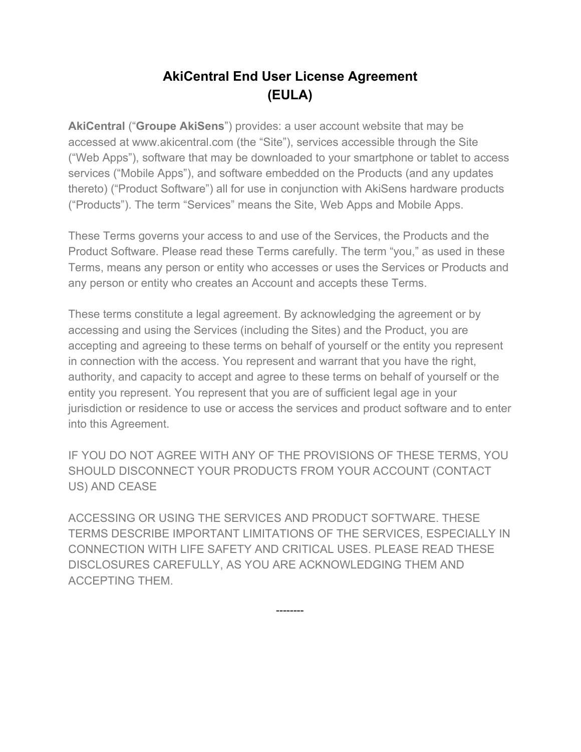# **AkiCentral End User License Agreement (EULA)**

**AkiCentral** ("**Groupe AkiSens**") provides: a user account website that may be accessed at www.akicentral.com (the "Site"), services accessible through the Site ("Web Apps"), software that may be downloaded to your smartphone or tablet to access services ("Mobile Apps"), and software embedded on the Products (and any updates thereto) ("Product Software") all for use in conjunction with AkiSens hardware products ("Products"). The term "Services" means the Site, Web Apps and Mobile Apps.

These Terms governs your access to and use of the Services, the Products and the Product Software. Please read these Terms carefully. The term "you," as used in these Terms, means any person or entity who accesses or uses the Services or Products and any person or entity who creates an Account and accepts these Terms.

These terms constitute a legal agreement. By acknowledging the agreement or by accessing and using the Services (including the Sites) and the Product, you are accepting and agreeing to these terms on behalf of yourself or the entity you represent in connection with the access. You represent and warrant that you have the right, authority, and capacity to accept and agree to these terms on behalf of yourself or the entity you represent. You represent that you are of sufficient legal age in your jurisdiction or residence to use or access the services and product software and to enter into this Agreement.

IF YOU DO NOT AGREE WITH ANY OF THE PROVISIONS OF THESE TERMS, YOU SHOULD DISCONNECT YOUR PRODUCTS FROM YOUR ACCOUNT (CONTACT US) AND CEASE

ACCESSING OR USING THE SERVICES AND PRODUCT SOFTWARE. THESE TERMS DESCRIBE IMPORTANT LIMITATIONS OF THE SERVICES, ESPECIALLY IN CONNECTION WITH LIFE SAFETY AND CRITICAL USES. PLEASE READ THESE DISCLOSURES CAREFULLY, AS YOU ARE ACKNOWLEDGING THEM AND ACCEPTING THEM.

--------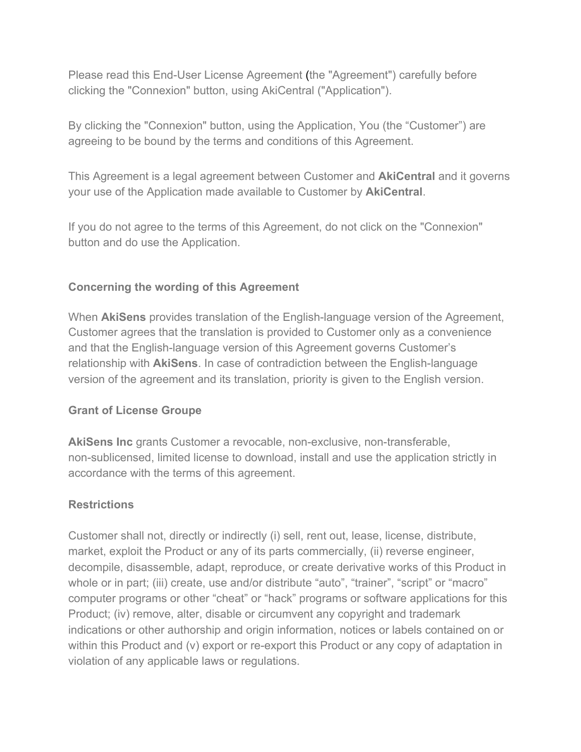Please read this End-User License Agreement (the "Agreement") carefully before clicking the "Connexion" button, using AkiCentral ("Application").

By clicking the "Connexion" button, using the Application, You (the "Customer") are agreeing to be bound by the terms and conditions of this Agreement.

This Agreement is a legal agreement between Customer and **AkiCentral** and it governs your use of the Application made available to Customer by **AkiCentral**.

If you do not agree to the terms of this Agreement, do not click on the "Connexion" button and do use the Application.

#### **Concerning the wording of this Agreement**

When **AkiSens** provides translation of the English-language version of the Agreement, Customer agrees that the translation is provided to Customer only as a convenience and that the English-language version of this Agreement governs Customer's relationship with **AkiSens**. In case of contradiction between the English-language version of the agreement and its translation, priority is given to the English version.

#### **Grant of License Groupe**

**AkiSens Inc** grants Customer a revocable, non-exclusive, non-transferable, non-sublicensed, limited license to download, install and use the application strictly in accordance with the terms of this agreement.

#### **Restrictions**

Customer shall not, directly or indirectly (i) sell, rent out, lease, license, distribute, market, exploit the Product or any of its parts commercially, (ii) reverse engineer, decompile, disassemble, adapt, reproduce, or create derivative works of this Product in whole or in part; (iii) create, use and/or distribute "auto", "trainer", "script" or "macro" computer programs or other "cheat" or "hack" programs or software applications for this Product; (iv) remove, alter, disable or circumvent any copyright and trademark indications or other authorship and origin information, notices or labels contained on or within this Product and (v) export or re-export this Product or any copy of adaptation in violation of any applicable laws or regulations.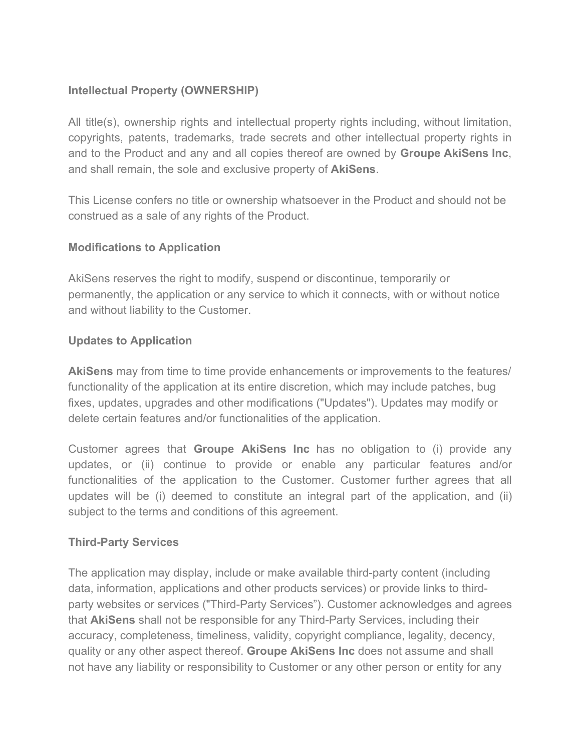# **Intellectual Property (OWNERSHIP)**

All title(s), ownership rights and intellectual property rights including, without limitation, copyrights, patents, trademarks, trade secrets and other intellectual property rights in and to the Product and any and all copies thereof are owned by **Groupe AkiSens Inc**, and shall remain, the sole and exclusive property of **AkiSens**.

This License confers no title or ownership whatsoever in the Product and should not be construed as a sale of any rights of the Product.

#### **Modifications to Application**

AkiSens reserves the right to modify, suspend or discontinue, temporarily or permanently, the application or any service to which it connects, with or without notice and without liability to the Customer.

# **Updates to Application**

**AkiSens** may from time to time provide enhancements or improvements to the features/ functionality of the application at its entire discretion, which may include patches, bug fixes, updates, upgrades and other modifications ("Updates"). Updates may modify or delete certain features and/or functionalities of the application.

Customer agrees that **Groupe AkiSens Inc** has no obligation to (i) provide any updates, or (ii) continue to provide or enable any particular features and/or functionalities of the application to the Customer. Customer further agrees that all updates will be (i) deemed to constitute an integral part of the application, and (ii) subject to the terms and conditions of this agreement.

#### **Third-Party Services**

The application may display, include or make available third-party content (including data, information, applications and other products services) or provide links to thirdparty websites or services ("Third-Party Services"). Customer acknowledges and agrees that **AkiSens** shall not be responsible for any Third-Party Services, including their accuracy, completeness, timeliness, validity, copyright compliance, legality, decency, quality or any other aspect thereof. **Groupe AkiSens Inc** does not assume and shall not have any liability or responsibility to Customer or any other person or entity for any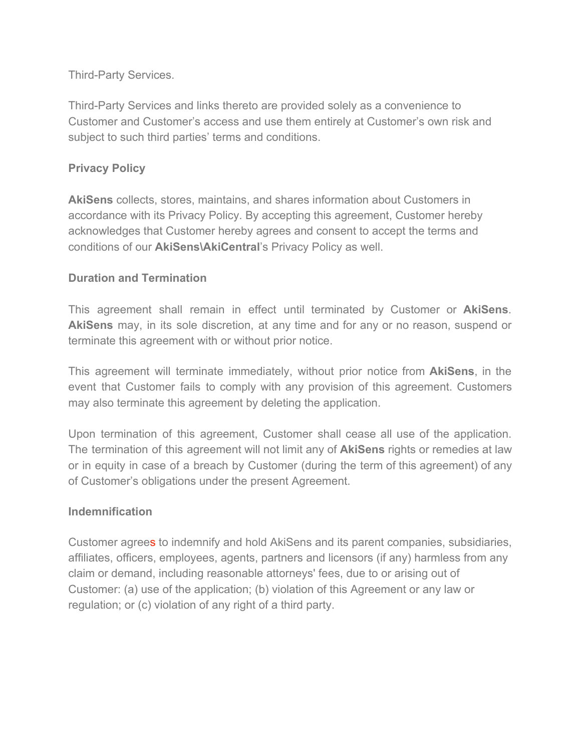Third-Party Services.

Third-Party Services and links thereto are provided solely as a convenience to Customer and Customer's access and use them entirely at Customer's own risk and subject to such third parties' terms and conditions.

### **Privacy Policy**

**AkiSens** collects, stores, maintains, and shares information about Customers in accordance with its Privacy Policy. By accepting this agreement, Customer hereby acknowledges that Customer hereby agrees and consent to accept the terms and conditions of our **AkiSens\AkiCentral**'s Privacy Policy as well.

#### **Duration and Termination**

This agreement shall remain in effect until terminated by Customer or **AkiSens**. **AkiSens** may, in its sole discretion, at any time and for any or no reason, suspend or terminate this agreement with or without prior notice.

This agreement will terminate immediately, without prior notice from **AkiSens**, in the event that Customer fails to comply with any provision of this agreement. Customers may also terminate this agreement by deleting the application.

Upon termination of this agreement, Customer shall cease all use of the application. The termination of this agreement will not limit any of **AkiSens** rights or remedies at law or in equity in case of a breach by Customer (during the term of this agreement) of any of Customer's obligations under the present Agreement.

#### **Indemnification**

Customer agrees to indemnify and hold AkiSens and its parent companies, subsidiaries, affiliates, officers, employees, agents, partners and licensors (if any) harmless from any claim or demand, including reasonable attorneys' fees, due to or arising out of Customer: (a) use of the application; (b) violation of this Agreement or any law or regulation; or (c) violation of any right of a third party.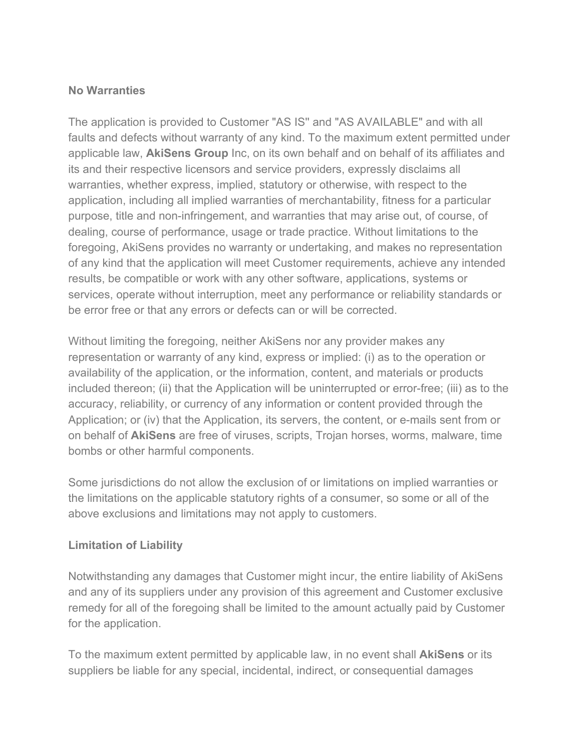#### **No Warranties**

The application is provided to Customer "AS IS'' and "AS AVAILABLE" and with all faults and defects without warranty of any kind. To the maximum extent permitted under applicable law, **AkiSens Group** Inc, on its own behalf and on behalf of its affiliates and its and their respective licensors and service providers, expressly disclaims all warranties, whether express, implied, statutory or otherwise, with respect to the application, including all implied warranties of merchantability, fitness for a particular purpose, title and non-infringement, and warranties that may arise out, of course, of dealing, course of performance, usage or trade practice. Without limitations to the foregoing, AkiSens provides no warranty or undertaking, and makes no representation of any kind that the application will meet Customer requirements, achieve any intended results, be compatible or work with any other software, applications, systems or services, operate without interruption, meet any performance or reliability standards or be error free or that any errors or defects can or will be corrected.

Without limiting the foregoing, neither AkiSens nor any provider makes any representation or warranty of any kind, express or implied: (i) as to the operation or availability of the application, or the information, content, and materials or products included thereon; (ii) that the Application will be uninterrupted or error-free; (iii) as to the accuracy, reliability, or currency of any information or content provided through the Application; or (iv) that the Application, its servers, the content, or e-mails sent from or on behalf of **AkiSens** are free of viruses, scripts, Trojan horses, worms, malware, time bombs or other harmful components.

Some jurisdictions do not allow the exclusion of or limitations on implied warranties or the limitations on the applicable statutory rights of a consumer, so some or all of the above exclusions and limitations may not apply to customers.

# **Limitation of Liability**

Notwithstanding any damages that Customer might incur, the entire liability of AkiSens and any of its suppliers under any provision of this agreement and Customer exclusive remedy for all of the foregoing shall be limited to the amount actually paid by Customer for the application.

To the maximum extent permitted by applicable law, in no event shall **AkiSens** or its suppliers be liable for any special, incidental, indirect, or consequential damages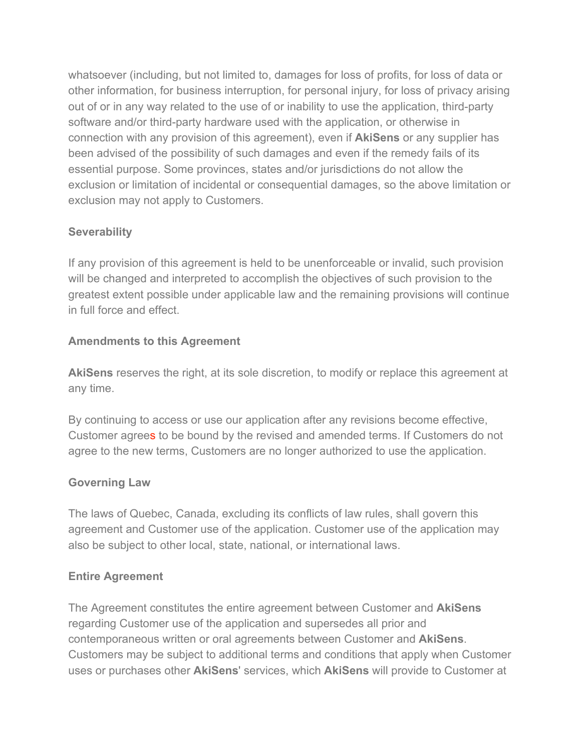whatsoever (including, but not limited to, damages for loss of profits, for loss of data or other information, for business interruption, for personal injury, for loss of privacy arising out of or in any way related to the use of or inability to use the application, third-party software and/or third-party hardware used with the application, or otherwise in connection with any provision of this agreement), even if **AkiSens** or any supplier has been advised of the possibility of such damages and even if the remedy fails of its essential purpose. Some provinces, states and/or jurisdictions do not allow the exclusion or limitation of incidental or consequential damages, so the above limitation or exclusion may not apply to Customers.

# **Severability**

If any provision of this agreement is held to be unenforceable or invalid, such provision will be changed and interpreted to accomplish the objectives of such provision to the greatest extent possible under applicable law and the remaining provisions will continue in full force and effect.

# **Amendments to this Agreement**

**AkiSens** reserves the right, at its sole discretion, to modify or replace this agreement at any time.

By continuing to access or use our application after any revisions become effective, Customer agrees to be bound by the revised and amended terms. If Customers do not agree to the new terms, Customers are no longer authorized to use the application.

# **Governing Law**

The laws of Quebec, Canada, excluding its conflicts of law rules, shall govern this agreement and Customer use of the application. Customer use of the application may also be subject to other local, state, national, or international laws.

# **Entire Agreement**

The Agreement constitutes the entire agreement between Customer and **AkiSens** regarding Customer use of the application and supersedes all prior and contemporaneous written or oral agreements between Customer and **AkiSens**. Customers may be subject to additional terms and conditions that apply when Customer uses or purchases other **AkiSens**' services, which **AkiSens** will provide to Customer at